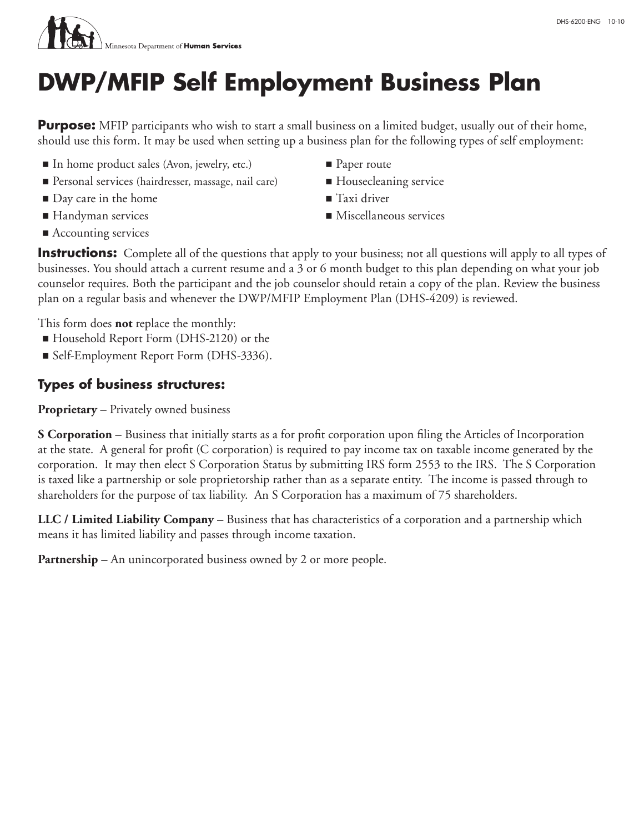

## **DWP/MFIP Self Employment Business Plan**

**Purpose:** MFIP participants who wish to start a small business on a limited budget, usually out of their home, should use this form. It may be used when setting up a business plan for the following types of self employment:

- In home product sales (Avon, jewelry, etc.)
- Personal services (hairdresser, massage, nail care)
- Day care in the home
- Handyman services
- Accounting services
- Paper route
- Housecleaning service
- Taxi driver
- Miscellaneous services

**Instructions:** Complete all of the questions that apply to your business; not all questions will apply to all types of businesses. You should attach a current resume and a 3 or 6 month budget to this plan depending on what your job counselor requires. Both the participant and the job counselor should retain a copy of the plan. Review the business plan on a regular basis and whenever the DWP/MFIP Employment Plan (DHS-4209) is reviewed.

This form does **not** replace the monthly:

- Household Report Form (DHS-2120) or the
- Self-Employment Report Form (DHS-3336).

## **Types of business structures:**

**Proprietary** – Privately owned business

**S Corporation** – Business that initially starts as a for profit corporation upon filing the Articles of Incorporation at the state. A general for profit (C corporation) is required to pay income tax on taxable income generated by the corporation. It may then elect S Corporation Status by submitting IRS form 2553 to the IRS. The S Corporation is taxed like a partnership or sole proprietorship rather than as a separate entity. The income is passed through to shareholders for the purpose of tax liability. An S Corporation has a maximum of 75 shareholders.

**LLC / Limited Liability Company** – Business that has characteristics of a corporation and a partnership which means it has limited liability and passes through income taxation.

**Partnership** – An unincorporated business owned by 2 or more people.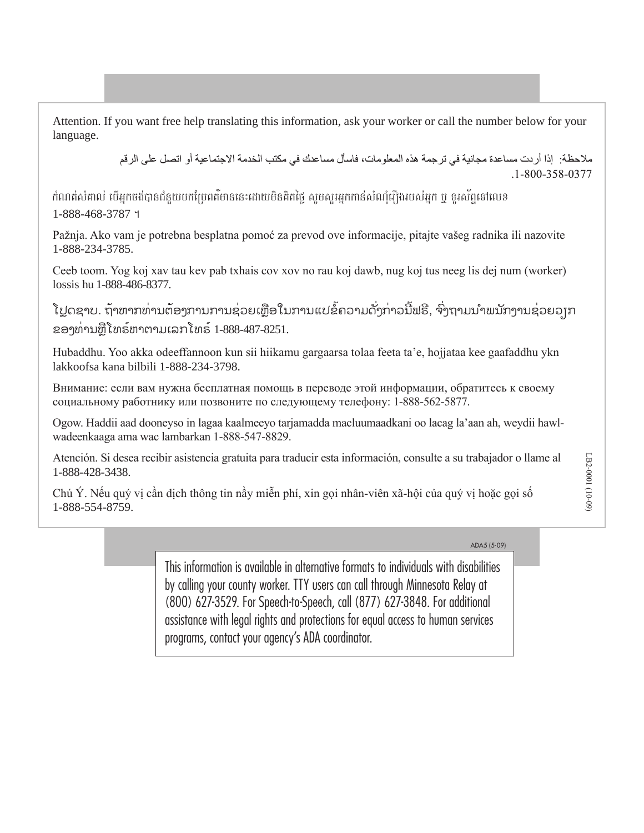Attention. If you want free help translating this information, ask your worker or call the number below for your language.

> ملاحظة: إذا أردت مساعدة مجانية في ترجمة هذه المعلومات، فاسأل مساعدك في مكتب الخدمة الاجتماعية أو اتصل على الرقم .1-800-358-0377

កំណត់សំគាល់ បើអកចង់បានជំនួយបកប្រែពត៌មាននេះដោយមិនគិតថៃ សមសរអកកាន់សំណំរើ]ងរបស់អក បូ ទរស័ពទៅលេខ 1-888-468-3787 ។

Pažnja. Ako vam je potrebna besplatna pomoć za prevod ove informacije, pitajte vašeg radnika ili nazovite 1-888-234-3785.

Ceeb toom. Yog koj xav tau kev pab txhais cov xov no rau koj dawb, nug koj tus neeg lis dej num (worker) lossis hu 1-888-486-8377.

ໄປຼດຊາບ. ຖາຫາກທ່ານຕອງການການຊ່ວຍເຫຼືອໃນການແປຂໍຄວາມດັ່ງກ່າວນີ້ຟຣີ, ຈົ່ງຖາມນຳພນັກງານຊ່ວຍວຸງກ ຂອງທ່ ານຫຼືໂທຣ໌ ຫາຕາມເລກໂທຣ໌1-888-487-8251.

Hubaddhu. Yoo akka odeeffannoon kun sii hiikamu gargaarsa tolaa feeta ta'e, hojjataa kee gaafaddhu ykn lakkoofsa kana bilbili 1-888-234-3798.

Внимание: если вам нужна бесплатная помощь в переводе этой информации, обратитесь к своему социальному работнику или позвоните по следующему телефону: 1-888-562-5877.

Ogow. Haddii aad dooneyso in lagaa kaalmeeyo tarjamadda macluumaadkani oo lacag la'aan ah, weydii hawlwadeenkaaga ama wac lambarkan 1-888-547-8829.

Atención. Si desea recibir asistencia gratuita para traducir esta información, consulte a su trabajador o llame al 1-888-428-3438.

Chú Ý. Nếu quý vị cần dịch thông tin nầy miễn phí, xin gọi nhân-viên xã-hội của quý vị hoặc gọi số 1-888-554-8759.

ADA5 (5-09)

LB2-0001 (10-09)

LB2-0001 (10-09)

This information is available in alternative formats to individuals with disabilities by calling your county worker. TTY users can call through Minnesota Relay at (800) 627‑3529. For Speech-to-Speech, call (877) 627‑3848. For additional assistance with legal rights and protections for equal access to human services programs, contact your agency's ADA coordinator.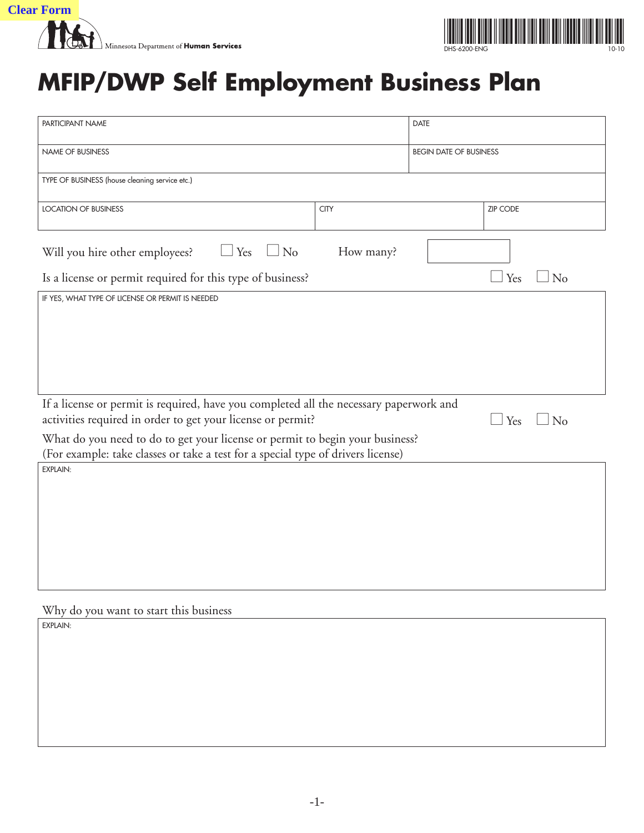

## **MFIP/DWP Self Employment Business Plan**

| PARTICIPANT NAME                                                                                                                                                               |             | <b>DATE</b>                   |                  |  |
|--------------------------------------------------------------------------------------------------------------------------------------------------------------------------------|-------------|-------------------------------|------------------|--|
| <b>NAME OF BUSINESS</b>                                                                                                                                                        |             | <b>BEGIN DATE OF BUSINESS</b> |                  |  |
| TYPE OF BUSINESS (house cleaning service etc.)                                                                                                                                 |             |                               |                  |  |
| LOCATION OF BUSINESS                                                                                                                                                           | <b>CITY</b> |                               | <b>ZIP CODE</b>  |  |
| $\Box$ Yes<br>$\Box$ No<br>Will you hire other employees?                                                                                                                      | How many?   |                               |                  |  |
| Is a license or permit required for this type of business?                                                                                                                     |             |                               | Yes<br>$\Box$ No |  |
| IF YES, WHAT TYPE OF LICENSE OR PERMIT IS NEEDED                                                                                                                               |             |                               |                  |  |
| If a license or permit is required, have you completed all the necessary paperwork and<br>activities required in order to get your license or permit?<br>Yes<br>N <sub>o</sub> |             |                               |                  |  |
| What do you need to do to get your license or permit to begin your business?<br>(For example: take classes or take a test for a special type of drivers license)               |             |                               |                  |  |
| EXPLAIN:                                                                                                                                                                       |             |                               |                  |  |
| Why do you want to start this business                                                                                                                                         |             |                               |                  |  |
| EXPLAIN:                                                                                                                                                                       |             |                               |                  |  |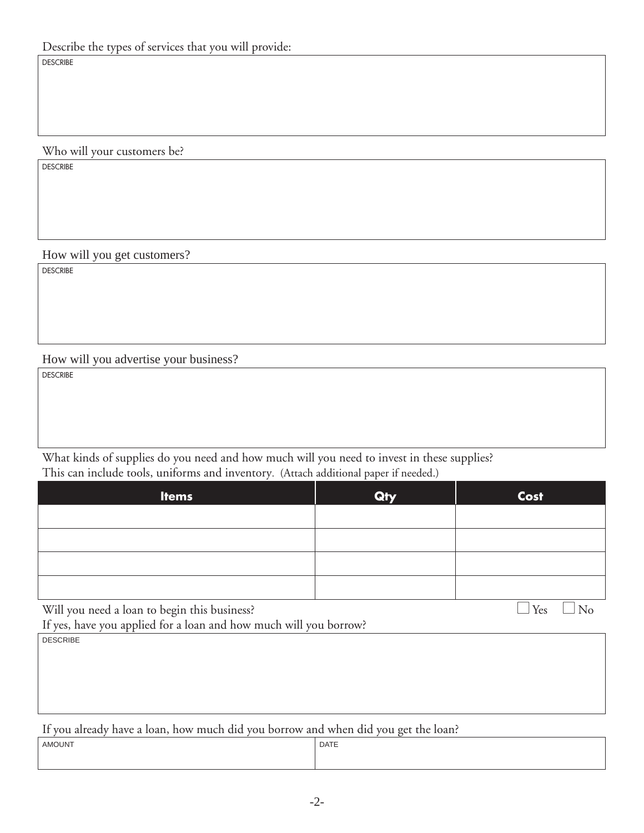Who will your customers be?

DESCRIBE

DESCRIBE

How will you get customers?

DESCRIBE

How will you advertise your business?

DESCRIBE

**DESCRIBE** 

What kinds of supplies do you need and how much will you need to invest in these supplies? This can include tools, uniforms and inventory. (Attach additional paper if needed.)

| <b>Items</b> | Qty | Cost |
|--------------|-----|------|
|              |     |      |
|              |     |      |
|              |     |      |
|              |     |      |

Will you need a loan to begin this business?  $\Box$  Yes  $\Box$  No

If yes, have you applied for a loan and how much will you borrow?

If you already have a loan, how much did you borrow and when did you get the loan?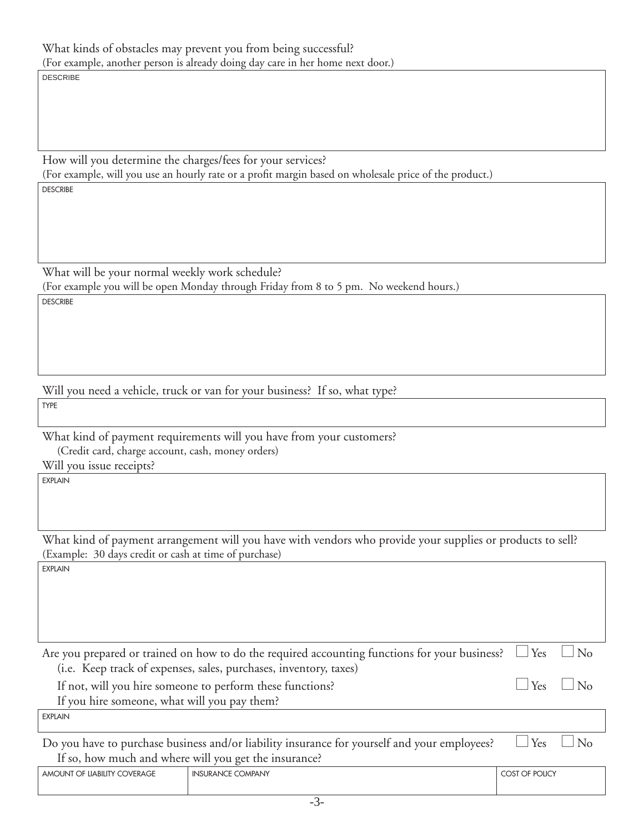**DESCRIBE** 

How will you determine the charges/fees for your services?

(For example, will you use an hourly rate or a profit margin based on wholesale price of the product.)

DESCRIBE

What will be your normal weekly work schedule?

(For example you will be open Monday through Friday from 8 to 5 pm. No weekend hours.)

**DESCRIBE** 

Will you need a vehicle, truck or van for your business? If so, what type?

TYPE

What kind of payment requirements will you have from your customers? (Credit card, charge account, cash, money orders)

Will you issue receipts?

EXPLAIN

What kind of payment arrangement will you have with vendors who provide your supplies or products to sell? (Example: 30 days credit or cash at time of purchase)

EXPLAIN

Are you prepared or trained on how to do the required accounting functions for your business?  $\Box$  Yes  $\Box$  No (i.e. Keep track of expenses, sales, purchases, inventory, taxes)

If not, will you hire someone to perform these functions?  $\Box$  Yes  $\Box$  No

If you hire someone, what will you pay them?

EXPLAIN

Do you have to purchase business and/or liability insurance for yourself and your employees?  $\Box$  Yes  $\Box$  No If so, how much and where will you get the insurance?

AMOUNT OF LIABILITY COVERAGE THIS URBIN AND LOST OF POLICY INSURANCE COMPANY COST OF POLICY COST OF POLICY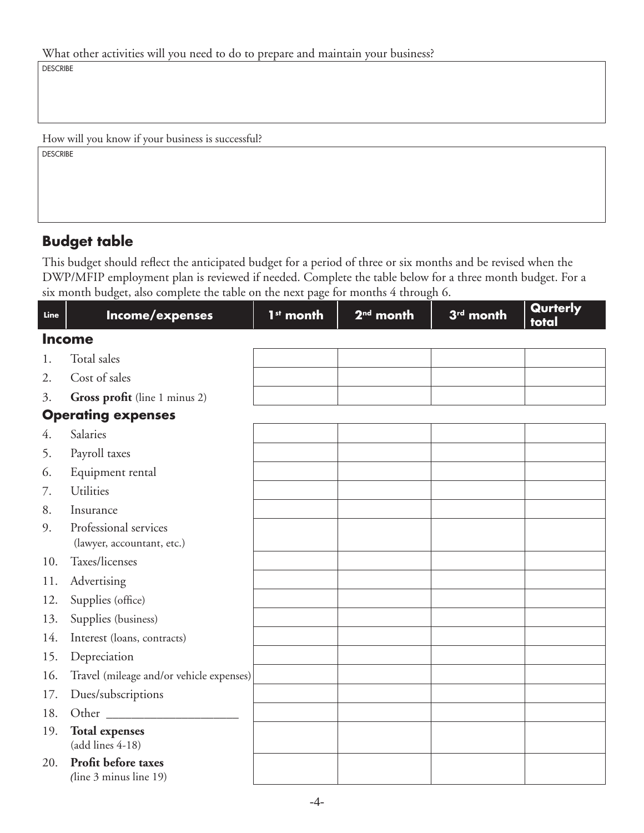DESCRIBE

How will you know if your business is successful?

DESCRIBE

## **Budget table**

This budget should reflect the anticipated budget for a period of three or six months and be revised when the DWP/MFIP employment plan is reviewed if needed. Complete the table below for a three month budget. For a six month budget, also complete the table on the next page for months 4 through 6.

| Line | Income/expenses                                     | 1 <sup>st</sup> month | $2nd$ month | 3 <sup>rd</sup> month | Qurterly<br>total |  |  |
|------|-----------------------------------------------------|-----------------------|-------------|-----------------------|-------------------|--|--|
|      | <b>Income</b>                                       |                       |             |                       |                   |  |  |
| 1.   | Total sales                                         |                       |             |                       |                   |  |  |
| 2.   | Cost of sales                                       |                       |             |                       |                   |  |  |
| 3.   | Gross profit (line 1 minus 2)                       |                       |             |                       |                   |  |  |
|      | <b>Operating expenses</b>                           |                       |             |                       |                   |  |  |
| 4.   | Salaries                                            |                       |             |                       |                   |  |  |
| 5.   | Payroll taxes                                       |                       |             |                       |                   |  |  |
| 6.   | Equipment rental                                    |                       |             |                       |                   |  |  |
| 7.   | Utilities                                           |                       |             |                       |                   |  |  |
| 8.   | Insurance                                           |                       |             |                       |                   |  |  |
| 9.   | Professional services<br>(lawyer, accountant, etc.) |                       |             |                       |                   |  |  |
| 10.  | Taxes/licenses                                      |                       |             |                       |                   |  |  |
| 11.  | Advertising                                         |                       |             |                       |                   |  |  |
| 12.  | Supplies (office)                                   |                       |             |                       |                   |  |  |
| 13.  | Supplies (business)                                 |                       |             |                       |                   |  |  |
| 14.  | Interest (loans, contracts)                         |                       |             |                       |                   |  |  |
| 15.  | Depreciation                                        |                       |             |                       |                   |  |  |
| 16.  | Travel (mileage and/or vehicle expenses)            |                       |             |                       |                   |  |  |
| 17.  | Dues/subscriptions                                  |                       |             |                       |                   |  |  |
| 18.  | Other                                               |                       |             |                       |                   |  |  |
| 19.  | <b>Total expenses</b><br>(add lines 4-18)           |                       |             |                       |                   |  |  |
| 20.  | Profit before taxes<br>(line 3 minus line 19)       |                       |             |                       |                   |  |  |